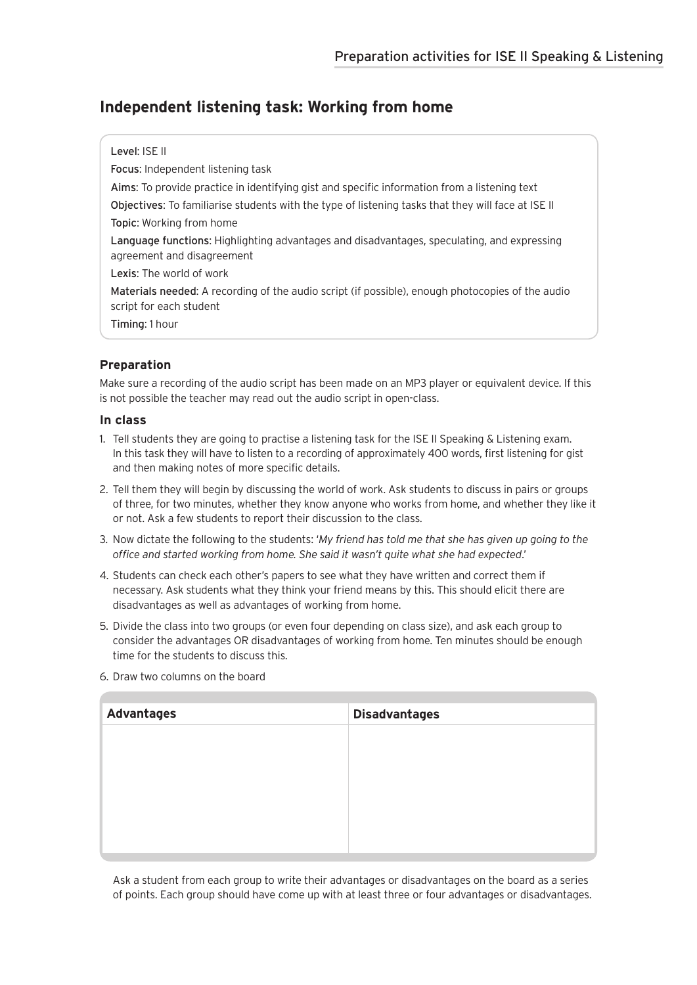## **Independent listening task: Working from home**

#### Level: ISE II

Focus: Independent listening task

Aims: To provide practice in identifying gist and specific information from a listening text

Objectives: To familiarise students with the type of listening tasks that they will face at ISE II Topic: Working from home

Language functions: Highlighting advantages and disadvantages, speculating, and expressing agreement and disagreement

Lexis: The world of work

Materials needed: A recording of the audio script (if possible), enough photocopies of the audio script for each student

Timing: 1 hour

## **Preparation**

Make sure a recording of the audio script has been made on an MP3 player or equivalent device. If this is not possible the teacher may read out the audio script in open-class.

#### **In class**

- 1. Tell students they are going to practise a listening task for the ISE II Speaking & Listening exam. In this task they will have to listen to a recording of approximately 400 words, first listening for gist and then making notes of more specific details.
- 2. Tell them they will begin by discussing the world of work. Ask students to discuss in pairs or groups of three, for two minutes, whether they know anyone who works from home, and whether they like it or not. Ask a few students to report their discussion to the class.
- 3. Now dictate the following to the students: '*My friend has told me that she has given up going to the office and started working from home. She said it wasn't quite what she had expected*.'
- 4. Students can check each other's papers to see what they have written and correct them if necessary. Ask students what they think your friend means by this. This should elicit there are disadvantages as well as advantages of working from home.
- 5. Divide the class into two groups (or even four depending on class size), and ask each group to consider the advantages OR disadvantages of working from home. Ten minutes should be enough time for the students to discuss this.

| 6. Draw two columns on the board |  |
|----------------------------------|--|
|----------------------------------|--|

| <b>Advantages</b> | <b>Disadvantages</b> |
|-------------------|----------------------|
|                   |                      |
|                   |                      |
|                   |                      |
|                   |                      |
|                   |                      |
|                   |                      |

Ask a student from each group to write their advantages or disadvantages on the board as a series of points. Each group should have come up with at least three or four advantages or disadvantages.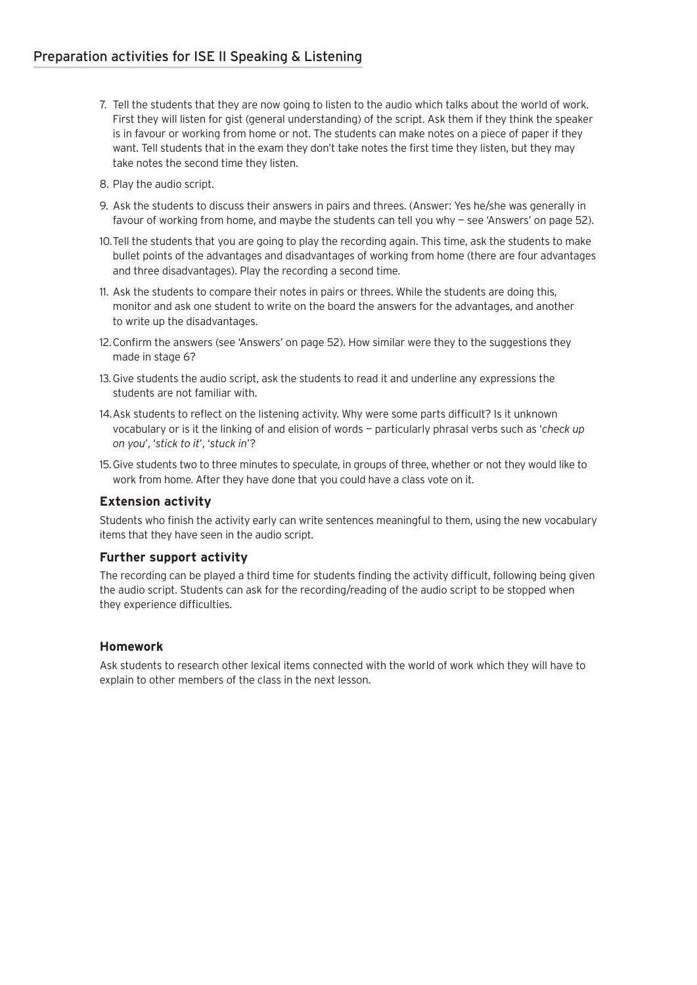- 7. Tell the students that they are now going to listen to the audio which talks about the world of work. First they will listen for gist (general understanding) of the script. Ask them if they think the speaker is in favour or working from home or not. The students can make notes on a piece of paper if they want. Tell students that in the exam they don't take notes the first time they listen, but they may take notes the second time they listen.
- 8. Play the audio script.
- 9. Ask the students to discuss their answers in pairs and threes. (Answer: Yes he/she was generally in favour of working from home, and maybe the students can tell you why — see 'Answers' on page 52).
- 10.Tell the students that you are going to play the recording again. This time, ask the students to make bullet points of the advantages and disadvantages of working from home (there are four advantages and three disadvantages). Play the recording a second time.
- 11. Ask the students to compare their notes in pairs or threes. While the students are doing this, monitor and ask one student to write on the board the answers for the advantages, and another to write up the disadvantages.
- 12.Confirm the answers (see 'Answers' on page 52). How similar were they to the suggestions they made in stage 6?
- 13.Give students the audio script, ask the students to read it and underline any expressions the students are not familiar with.
- 14.Ask students to reflect on the listening activity. Why were some parts difficult? Is it unknown vocabulary or is it the linking of and elision of words — particularly phrasal verbs such as '*check up on you*', '*stick to it*', '*stuck in*'?
- 15.Give students two to three minutes to speculate, in groups of three, whether or not they would like to work from home. After they have done that you could have a class vote on it.

### **Extension activity**

Students who finish the activity early can write sentences meaningful to them, using the new vocabulary items that they have seen in the audio script.

#### **Further support activity**

The recording can be played a third time for students finding the activity difficult, following being given the audio script. Students can ask for the recording/reading of the audio script to be stopped when they experience difficulties.

#### **Homework**

Ask students to research other lexical items connected with the world of work which they will have to explain to other members of the class in the next lesson.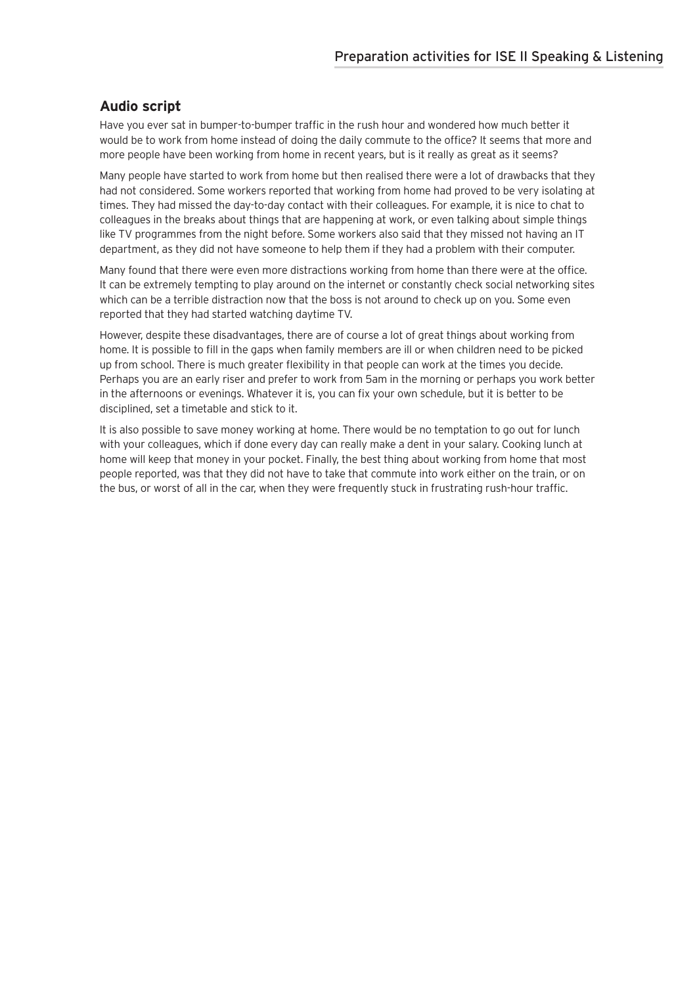## **Audio script**

Have you ever sat in bumper-to-bumper traffic in the rush hour and wondered how much better it would be to work from home instead of doing the daily commute to the office? It seems that more and more people have been working from home in recent years, but is it really as great as it seems?

Many people have started to work from home but then realised there were a lot of drawbacks that they had not considered. Some workers reported that working from home had proved to be very isolating at times. They had missed the day-to-day contact with their colleagues. For example, it is nice to chat to colleagues in the breaks about things that are happening at work, or even talking about simple things like TV programmes from the night before. Some workers also said that they missed not having an IT department, as they did not have someone to help them if they had a problem with their computer.

Many found that there were even more distractions working from home than there were at the office. It can be extremely tempting to play around on the internet or constantly check social networking sites which can be a terrible distraction now that the boss is not around to check up on you. Some even reported that they had started watching daytime TV.

However, despite these disadvantages, there are of course a lot of great things about working from home. It is possible to fill in the gaps when family members are ill or when children need to be picked up from school. There is much greater flexibility in that people can work at the times you decide. Perhaps you are an early riser and prefer to work from 5am in the morning or perhaps you work better in the afternoons or evenings. Whatever it is, you can fix your own schedule, but it is better to be disciplined, set a timetable and stick to it.

It is also possible to save money working at home. There would be no temptation to go out for lunch with your colleagues, which if done every day can really make a dent in your salary. Cooking lunch at home will keep that money in your pocket. Finally, the best thing about working from home that most people reported, was that they did not have to take that commute into work either on the train, or on the bus, or worst of all in the car, when they were frequently stuck in frustrating rush-hour traffic.